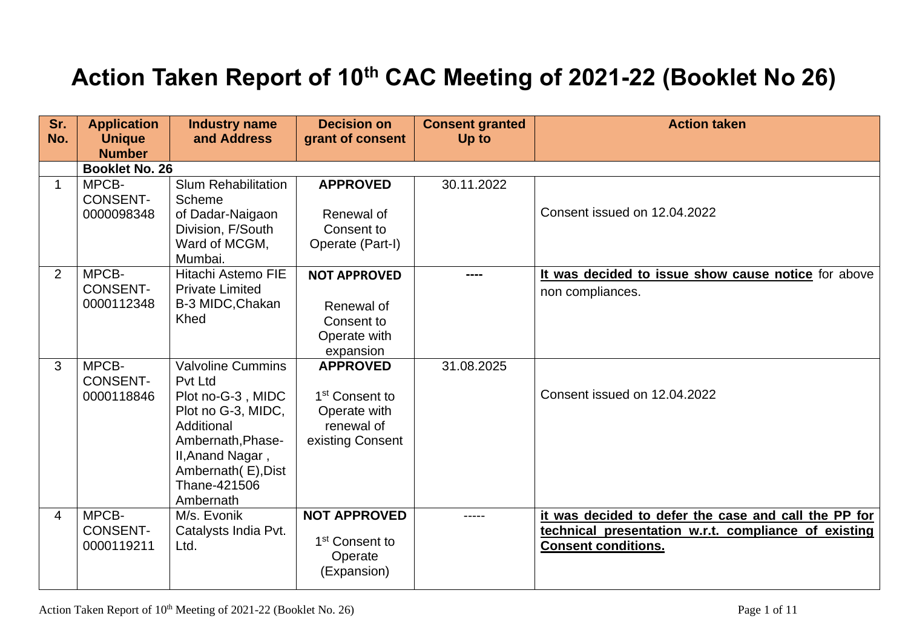## **Action Taken Report of 10th CAC Meeting of 2021-22 (Booklet No 26)**

| Sr.<br>No.     | <b>Application</b><br><b>Unique</b>    | <b>Industry name</b><br>and Address                                                                                                                                                       | <b>Decision on</b><br>grant of consent                                                          | <b>Consent granted</b><br>Up to | <b>Action taken</b>                                                                                                                        |
|----------------|----------------------------------------|-------------------------------------------------------------------------------------------------------------------------------------------------------------------------------------------|-------------------------------------------------------------------------------------------------|---------------------------------|--------------------------------------------------------------------------------------------------------------------------------------------|
|                | <b>Number</b><br><b>Booklet No. 26</b> |                                                                                                                                                                                           |                                                                                                 |                                 |                                                                                                                                            |
| $\mathbf 1$    | MPCB-<br><b>CONSENT-</b><br>0000098348 | <b>Slum Rehabilitation</b><br>Scheme<br>of Dadar-Naigaon<br>Division, F/South<br>Ward of MCGM,<br>Mumbai.                                                                                 | <b>APPROVED</b><br>Renewal of<br>Consent to<br>Operate (Part-I)                                 | 30.11.2022                      | Consent issued on 12.04.2022                                                                                                               |
| 2              | MPCB-<br><b>CONSENT-</b><br>0000112348 | <b>Hitachi Astemo FIE</b><br><b>Private Limited</b><br>B-3 MIDC, Chakan<br>Khed                                                                                                           | <b>NOT APPROVED</b><br>Renewal of<br>Consent to<br>Operate with<br>expansion                    |                                 | It was decided to issue show cause notice for above<br>non compliances.                                                                    |
| 3              | MPCB-<br><b>CONSENT-</b><br>0000118846 | <b>Valvoline Cummins</b><br>Pvt Ltd<br>Plot no-G-3, MIDC<br>Plot no G-3, MIDC,<br>Additional<br>Ambernath, Phase-<br>II, Anand Nagar,<br>Ambernath (E), Dist<br>Thane-421506<br>Ambernath | <b>APPROVED</b><br>1 <sup>st</sup> Consent to<br>Operate with<br>renewal of<br>existing Consent | 31.08.2025                      | Consent issued on 12.04.2022                                                                                                               |
| $\overline{4}$ | MPCB-<br><b>CONSENT-</b><br>0000119211 | M/s. Evonik<br>Catalysts India Pvt.<br>Ltd.                                                                                                                                               | <b>NOT APPROVED</b><br>1 <sup>st</sup> Consent to<br>Operate<br>(Expansion)                     | ----                            | it was decided to defer the case and call the PP for<br>technical presentation w.r.t. compliance of existing<br><b>Consent conditions.</b> |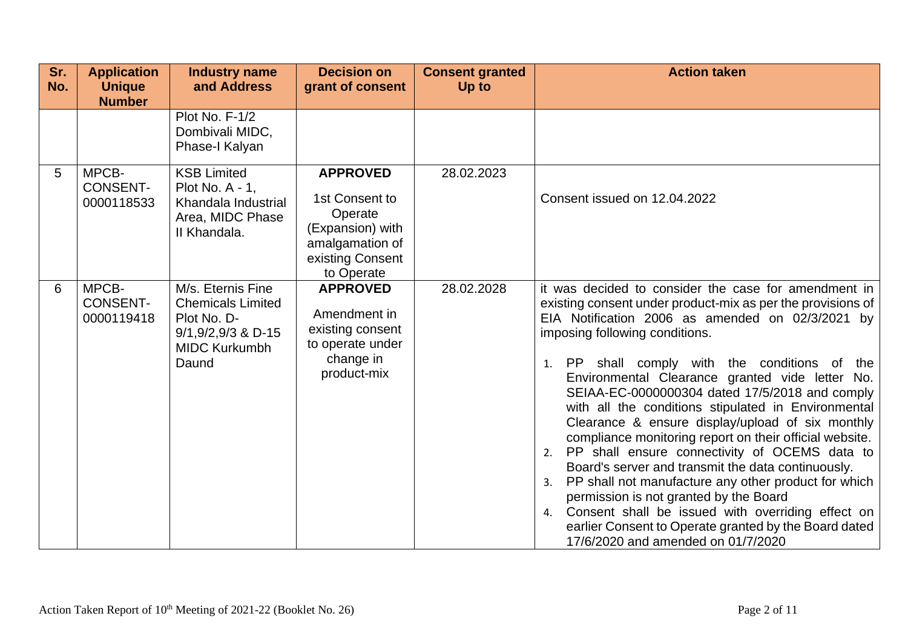| Sr.<br>No. | <b>Application</b><br><b>Unique</b><br><b>Number</b> | <b>Industry name</b><br>and Address                                                                                     | <b>Decision on</b><br>grant of consent                                                                                | <b>Consent granted</b><br>Up to | <b>Action taken</b>                                                                                                                                                                                                                                                                                                                                                                                                                                                                                                                                                                                                                                                                                                                                                                                                                                                                                                  |
|------------|------------------------------------------------------|-------------------------------------------------------------------------------------------------------------------------|-----------------------------------------------------------------------------------------------------------------------|---------------------------------|----------------------------------------------------------------------------------------------------------------------------------------------------------------------------------------------------------------------------------------------------------------------------------------------------------------------------------------------------------------------------------------------------------------------------------------------------------------------------------------------------------------------------------------------------------------------------------------------------------------------------------------------------------------------------------------------------------------------------------------------------------------------------------------------------------------------------------------------------------------------------------------------------------------------|
|            |                                                      | Plot No. F-1/2<br>Dombivali MIDC,<br>Phase-I Kalyan                                                                     |                                                                                                                       |                                 |                                                                                                                                                                                                                                                                                                                                                                                                                                                                                                                                                                                                                                                                                                                                                                                                                                                                                                                      |
| 5          | MPCB-<br><b>CONSENT-</b><br>0000118533               | <b>KSB Limited</b><br>Plot No. A - 1,<br>Khandala Industrial<br>Area, MIDC Phase<br>II Khandala.                        | <b>APPROVED</b><br>1st Consent to<br>Operate<br>(Expansion) with<br>amalgamation of<br>existing Consent<br>to Operate | 28.02.2023                      | Consent issued on 12.04.2022                                                                                                                                                                                                                                                                                                                                                                                                                                                                                                                                                                                                                                                                                                                                                                                                                                                                                         |
| 6          | MPCB-<br><b>CONSENT-</b><br>0000119418               | M/s. Eternis Fine<br><b>Chemicals Limited</b><br>Plot No. D-<br>$9/1, 9/2, 9/3$ & D-15<br><b>MIDC Kurkumbh</b><br>Daund | <b>APPROVED</b><br>Amendment in<br>existing consent<br>to operate under<br>change in<br>product-mix                   | 28.02.2028                      | it was decided to consider the case for amendment in<br>existing consent under product-mix as per the provisions of<br>EIA Notification 2006 as amended on 02/3/2021 by<br>imposing following conditions.<br>1. PP shall comply with the conditions of the<br>Environmental Clearance granted vide letter No.<br>SEIAA-EC-0000000304 dated 17/5/2018 and comply<br>with all the conditions stipulated in Environmental<br>Clearance & ensure display/upload of six monthly<br>compliance monitoring report on their official website.<br>PP shall ensure connectivity of OCEMS data to<br>2.<br>Board's server and transmit the data continuously.<br>PP shall not manufacture any other product for which<br>3.<br>permission is not granted by the Board<br>Consent shall be issued with overriding effect on<br>4.<br>earlier Consent to Operate granted by the Board dated<br>17/6/2020 and amended on 01/7/2020 |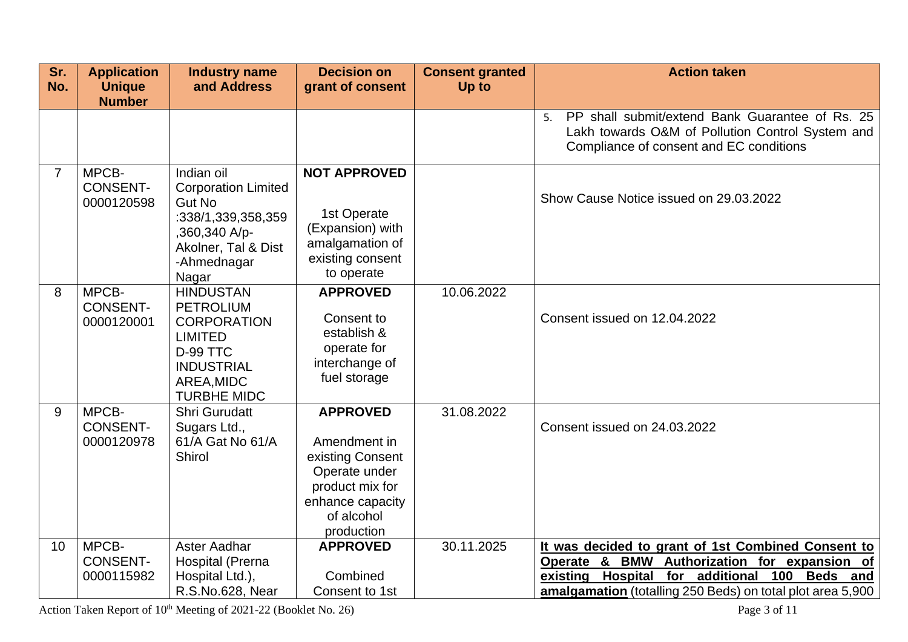| Sr.            | <b>Application</b>                     | Industry name                                                                                                                                            | <b>Decision on</b>                                                                                                                      | <b>Consent granted</b> | <b>Action taken</b>                                                                                                                                                                                                           |
|----------------|----------------------------------------|----------------------------------------------------------------------------------------------------------------------------------------------------------|-----------------------------------------------------------------------------------------------------------------------------------------|------------------------|-------------------------------------------------------------------------------------------------------------------------------------------------------------------------------------------------------------------------------|
| No.            | <b>Unique</b><br><b>Number</b>         | and Address                                                                                                                                              | grant of consent                                                                                                                        | Up to                  |                                                                                                                                                                                                                               |
|                |                                        |                                                                                                                                                          |                                                                                                                                         |                        | PP shall submit/extend Bank Guarantee of Rs. 25<br>5.<br>Lakh towards O&M of Pollution Control System and<br>Compliance of consent and EC conditions                                                                          |
| $\overline{7}$ | MPCB-<br><b>CONSENT-</b><br>0000120598 | Indian oil<br><b>Corporation Limited</b><br><b>Gut No</b><br>:338/1,339,358,359<br>,360,340 A/p-<br>Akolner, Tal & Dist<br>-Ahmednagar<br>Nagar          | <b>NOT APPROVED</b><br>1st Operate<br>(Expansion) with<br>amalgamation of<br>existing consent<br>to operate                             |                        | Show Cause Notice issued on 29.03.2022                                                                                                                                                                                        |
| 8              | MPCB-<br><b>CONSENT-</b><br>0000120001 | <b>HINDUSTAN</b><br><b>PETROLIUM</b><br><b>CORPORATION</b><br><b>LIMITED</b><br><b>D-99 TTC</b><br><b>INDUSTRIAL</b><br>AREA, MIDC<br><b>TURBHE MIDC</b> | <b>APPROVED</b><br>Consent to<br>establish &<br>operate for<br>interchange of<br>fuel storage                                           | 10.06.2022             | Consent issued on 12.04.2022                                                                                                                                                                                                  |
| 9              | MPCB-<br><b>CONSENT-</b><br>0000120978 | Shri Gurudatt<br>Sugars Ltd.,<br>61/A Gat No 61/A<br>Shirol                                                                                              | <b>APPROVED</b><br>Amendment in<br>existing Consent<br>Operate under<br>product mix for<br>enhance capacity<br>of alcohol<br>production | 31.08.2022             | Consent issued on 24.03.2022                                                                                                                                                                                                  |
| 10             | MPCB-<br><b>CONSENT-</b><br>0000115982 | Aster Aadhar<br>Hospital (Prerna<br>Hospital Ltd.),<br>R.S.No.628, Near                                                                                  | <b>APPROVED</b><br>Combined<br>Consent to 1st                                                                                           | 30.11.2025             | It was decided to grant of 1st Combined Consent to<br>Operate & BMW Authorization for expansion of<br>Hospital<br>for additional<br>existing<br>100<br>Beds and<br>amalgamation (totalling 250 Beds) on total plot area 5,900 |

Action Taken Report of 10<sup>th</sup> Meeting of 2021-22 (Booklet No. 26) Page 3 of 11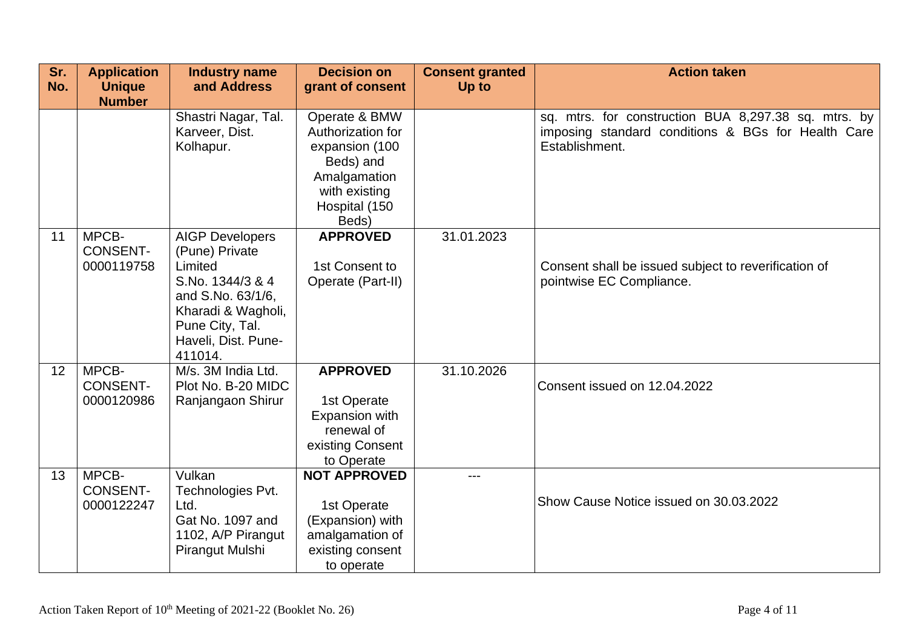| Sr.<br>No. | <b>Application</b><br><b>Unique</b>    | <b>Industry name</b><br>and Address                                                                                                           | <b>Decision on</b><br>grant of consent                                                                      | <b>Consent granted</b><br>Up to | <b>Action taken</b>                                                                                                          |
|------------|----------------------------------------|-----------------------------------------------------------------------------------------------------------------------------------------------|-------------------------------------------------------------------------------------------------------------|---------------------------------|------------------------------------------------------------------------------------------------------------------------------|
|            | <b>Number</b>                          | Shastri Nagar, Tal.<br>Karveer, Dist.<br>Kolhapur.                                                                                            | Operate & BMW<br>Authorization for<br>expansion (100<br>Beds) and<br>Amalgamation<br>with existing          |                                 | sq. mtrs. for construction BUA 8,297.38 sq. mtrs. by<br>imposing standard conditions & BGs for Health Care<br>Establishment. |
| 11         | MPCB-                                  | <b>AIGP Developers</b>                                                                                                                        | Hospital (150<br>Beds)<br><b>APPROVED</b>                                                                   | 31.01.2023                      |                                                                                                                              |
|            | <b>CONSENT-</b><br>0000119758          | (Pune) Private<br>Limited<br>S.No. 1344/3 & 4<br>and S.No. 63/1/6,<br>Kharadi & Wagholi,<br>Pune City, Tal.<br>Haveli, Dist. Pune-<br>411014. | 1st Consent to<br>Operate (Part-II)                                                                         |                                 | Consent shall be issued subject to reverification of<br>pointwise EC Compliance.                                             |
| 12         | MPCB-<br><b>CONSENT-</b><br>0000120986 | M/s. 3M India Ltd.<br>Plot No. B-20 MIDC<br>Ranjangaon Shirur                                                                                 | <b>APPROVED</b><br>1st Operate<br>Expansion with<br>renewal of<br>existing Consent<br>to Operate            | 31.10.2026                      | Consent issued on 12.04.2022                                                                                                 |
| 13         | MPCB-<br><b>CONSENT-</b><br>0000122247 | Vulkan<br>Technologies Pvt.<br>Ltd.<br>Gat No. 1097 and<br>1102, A/P Pirangut<br>Pirangut Mulshi                                              | <b>NOT APPROVED</b><br>1st Operate<br>(Expansion) with<br>amalgamation of<br>existing consent<br>to operate | ---                             | Show Cause Notice issued on 30.03.2022                                                                                       |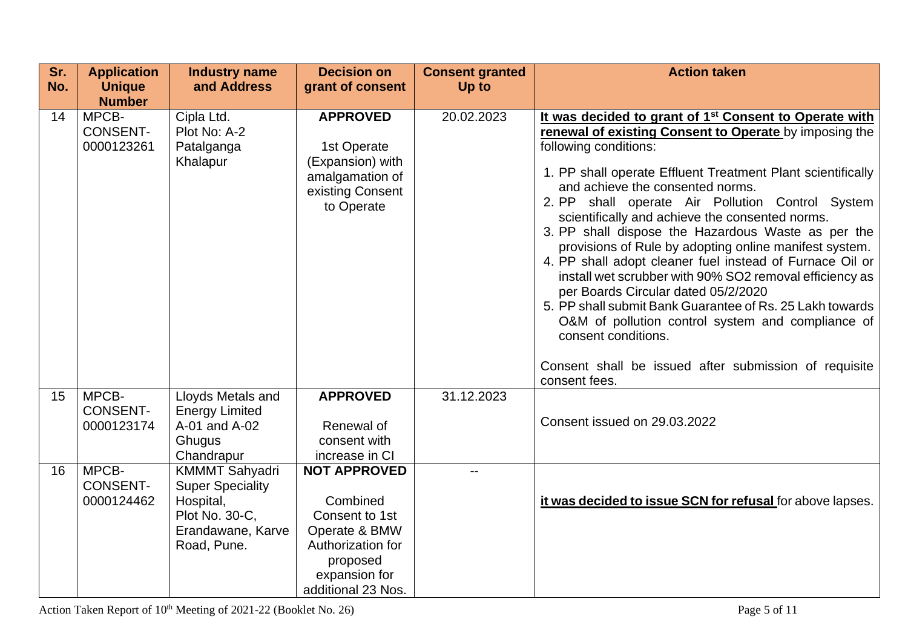| Sr.<br>No. | <b>Application</b><br><b>Unique</b>                     | <b>Industry name</b><br>and Address                                                                                 | <b>Decision on</b><br>grant of consent                                                                                                     | <b>Consent granted</b><br>Up to | <b>Action taken</b>                                                                                                                                                                                                                                                                                                                                                                                                                                                                                                                                                                                                                                                                                                                                                                                                                                             |
|------------|---------------------------------------------------------|---------------------------------------------------------------------------------------------------------------------|--------------------------------------------------------------------------------------------------------------------------------------------|---------------------------------|-----------------------------------------------------------------------------------------------------------------------------------------------------------------------------------------------------------------------------------------------------------------------------------------------------------------------------------------------------------------------------------------------------------------------------------------------------------------------------------------------------------------------------------------------------------------------------------------------------------------------------------------------------------------------------------------------------------------------------------------------------------------------------------------------------------------------------------------------------------------|
| 14         | <b>Number</b><br>MPCB-<br><b>CONSENT-</b><br>0000123261 | Cipla Ltd.<br>Plot No: A-2<br>Patalganga<br>Khalapur                                                                | <b>APPROVED</b><br>1st Operate<br>(Expansion) with<br>amalgamation of<br>existing Consent<br>to Operate                                    | 20.02.2023                      | It was decided to grant of 1 <sup>st</sup> Consent to Operate with<br>renewal of existing Consent to Operate by imposing the<br>following conditions:<br>1. PP shall operate Effluent Treatment Plant scientifically<br>and achieve the consented norms.<br>2. PP shall operate Air Pollution Control System<br>scientifically and achieve the consented norms.<br>3. PP shall dispose the Hazardous Waste as per the<br>provisions of Rule by adopting online manifest system.<br>4. PP shall adopt cleaner fuel instead of Furnace Oil or<br>install wet scrubber with 90% SO2 removal efficiency as<br>per Boards Circular dated 05/2/2020<br>5. PP shall submit Bank Guarantee of Rs. 25 Lakh towards<br>O&M of pollution control system and compliance of<br>consent conditions.<br>Consent shall be issued after submission of requisite<br>consent fees. |
| 15         | MPCB-<br><b>CONSENT-</b><br>0000123174                  | Lloyds Metals and<br><b>Energy Limited</b><br>A-01 and A-02<br>Ghugus<br>Chandrapur                                 | <b>APPROVED</b><br>Renewal of<br>consent with<br>increase in CI                                                                            | 31.12.2023                      | Consent issued on 29.03.2022                                                                                                                                                                                                                                                                                                                                                                                                                                                                                                                                                                                                                                                                                                                                                                                                                                    |
| 16         | MPCB-<br><b>CONSENT-</b><br>0000124462                  | <b>KMMMT Sahyadri</b><br><b>Super Speciality</b><br>Hospital,<br>Plot No. 30-C,<br>Erandawane, Karve<br>Road, Pune. | <b>NOT APPROVED</b><br>Combined<br>Consent to 1st<br>Operate & BMW<br>Authorization for<br>proposed<br>expansion for<br>additional 23 Nos. |                                 | it was decided to issue SCN for refusal for above lapses.                                                                                                                                                                                                                                                                                                                                                                                                                                                                                                                                                                                                                                                                                                                                                                                                       |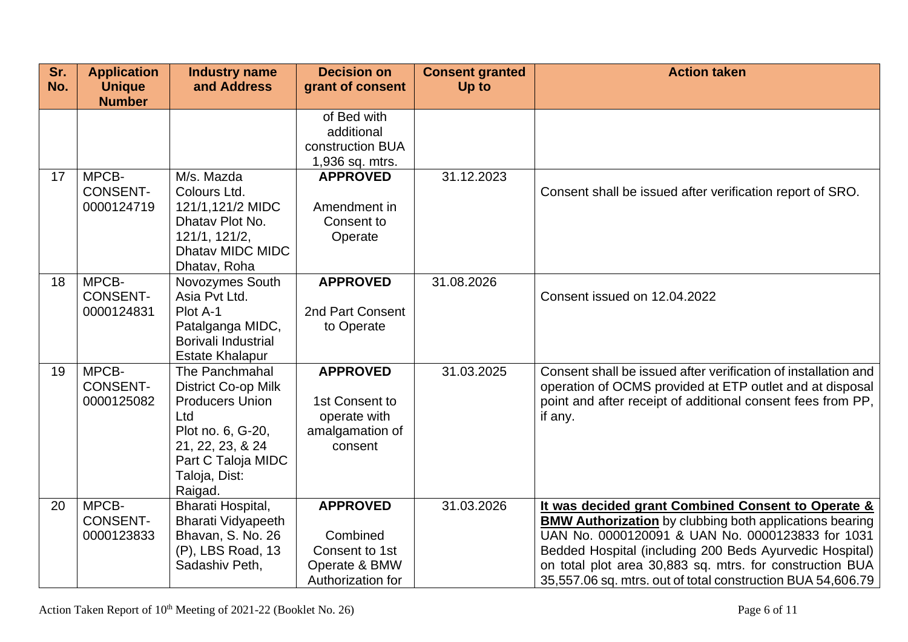| Sr.<br>No. | <b>Application</b><br><b>Unique</b><br><b>Number</b> | <b>Industry name</b><br>and Address                                                                                                                                      | <b>Decision on</b><br>grant of consent                                              | <b>Consent granted</b><br><b>Up to</b> | <b>Action taken</b>                                                                                                                                                                                                                                                                                                                                            |
|------------|------------------------------------------------------|--------------------------------------------------------------------------------------------------------------------------------------------------------------------------|-------------------------------------------------------------------------------------|----------------------------------------|----------------------------------------------------------------------------------------------------------------------------------------------------------------------------------------------------------------------------------------------------------------------------------------------------------------------------------------------------------------|
|            |                                                      |                                                                                                                                                                          | of Bed with<br>additional<br>construction BUA<br>1,936 sq. mtrs.                    |                                        |                                                                                                                                                                                                                                                                                                                                                                |
| 17         | MPCB-<br><b>CONSENT-</b><br>0000124719               | M/s. Mazda<br>Colours Ltd.<br>121/1,121/2 MIDC<br>Dhatav Plot No.<br>121/1, 121/2,<br>Dhatav MIDC MIDC<br>Dhatav, Roha                                                   | <b>APPROVED</b><br>Amendment in<br>Consent to<br>Operate                            | 31.12.2023                             | Consent shall be issued after verification report of SRO.                                                                                                                                                                                                                                                                                                      |
| 18         | MPCB-<br><b>CONSENT-</b><br>0000124831               | Novozymes South<br>Asia Pvt Ltd.<br>Plot A-1<br>Patalganga MIDC,<br>Borivali Industrial<br><b>Estate Khalapur</b>                                                        | <b>APPROVED</b><br>2nd Part Consent<br>to Operate                                   | 31.08.2026                             | Consent issued on 12.04.2022                                                                                                                                                                                                                                                                                                                                   |
| 19         | MPCB-<br><b>CONSENT-</b><br>0000125082               | The Panchmahal<br><b>District Co-op Milk</b><br><b>Producers Union</b><br>Ltd<br>Plot no. 6, G-20,<br>21, 22, 23, & 24<br>Part C Taloja MIDC<br>Taloja, Dist:<br>Raigad. | <b>APPROVED</b><br>1st Consent to<br>operate with<br>amalgamation of<br>consent     | 31.03.2025                             | Consent shall be issued after verification of installation and<br>operation of OCMS provided at ETP outlet and at disposal<br>point and after receipt of additional consent fees from PP,<br>if any.                                                                                                                                                           |
| 20         | MPCB-<br><b>CONSENT-</b><br>0000123833               | Bharati Hospital,<br><b>Bharati Vidyapeeth</b><br>Bhavan, S. No. 26<br>(P), LBS Road, 13<br>Sadashiv Peth,                                                               | <b>APPROVED</b><br>Combined<br>Consent to 1st<br>Operate & BMW<br>Authorization for | 31.03.2026                             | It was decided grant Combined Consent to Operate &<br><b>BMW Authorization</b> by clubbing both applications bearing<br>UAN No. 0000120091 & UAN No. 0000123833 for 1031<br>Bedded Hospital (including 200 Beds Ayurvedic Hospital)<br>on total plot area 30,883 sq. mtrs. for construction BUA<br>35,557.06 sq. mtrs. out of total construction BUA 54,606.79 |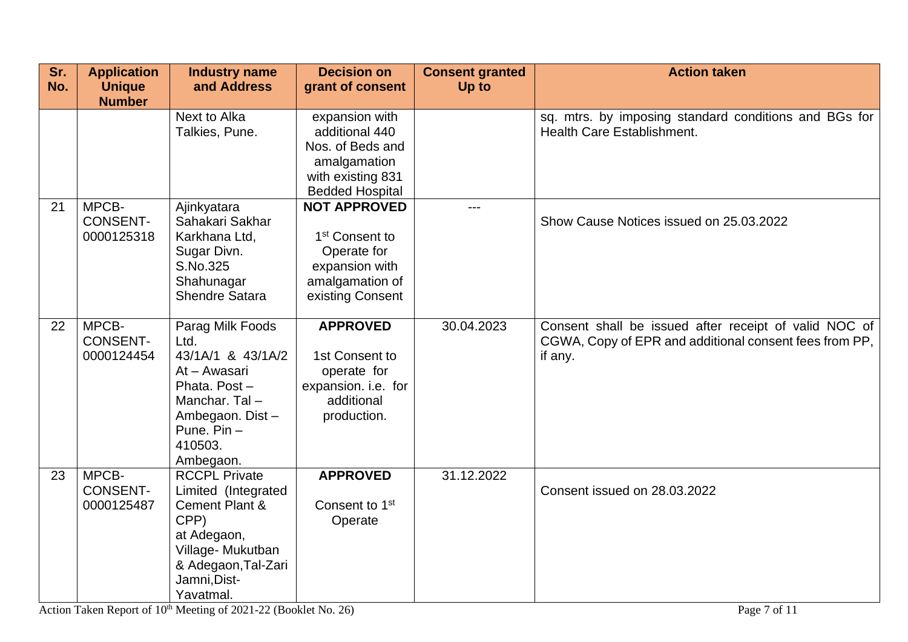| Sr.<br>No. | <b>Application</b><br><b>Unique</b><br><b>Number</b> | <b>Industry name</b><br>and Address                                                                                                                                     | <b>Decision on</b><br>grant of consent                                                                                    | <b>Consent granted</b><br>Up to | <b>Action taken</b>                                                                                                        |
|------------|------------------------------------------------------|-------------------------------------------------------------------------------------------------------------------------------------------------------------------------|---------------------------------------------------------------------------------------------------------------------------|---------------------------------|----------------------------------------------------------------------------------------------------------------------------|
|            |                                                      | Next to Alka<br>Talkies, Pune.                                                                                                                                          | expansion with<br>additional 440<br>Nos. of Beds and<br>amalgamation<br>with existing 831<br><b>Bedded Hospital</b>       |                                 | sq. mtrs. by imposing standard conditions and BGs for<br>Health Care Establishment.                                        |
| 21         | MPCB-<br><b>CONSENT-</b><br>0000125318               | Ajinkyatara<br>Sahakari Sakhar<br>Karkhana Ltd,<br>Sugar Divn.<br>S.No.325<br>Shahunagar<br><b>Shendre Satara</b>                                                       | <b>NOT APPROVED</b><br>1 <sup>st</sup> Consent to<br>Operate for<br>expansion with<br>amalgamation of<br>existing Consent | ---                             | Show Cause Notices issued on 25.03.2022                                                                                    |
| 22         | MPCB-<br><b>CONSENT-</b><br>0000124454               | Parag Milk Foods<br>Ltd.<br>43/1A/1 & 43/1A/2<br>At - Awasari<br>Phata, Post-<br>Manchar. Tal-<br>Ambegaon. Dist-<br>Pune. Pin-<br>410503.<br>Ambegaon.                 | <b>APPROVED</b><br>1st Consent to<br>operate for<br>expansion. i.e. for<br>additional<br>production.                      | 30.04.2023                      | Consent shall be issued after receipt of valid NOC of<br>CGWA, Copy of EPR and additional consent fees from PP,<br>if any. |
| 23         | MPCB-<br><b>CONSENT-</b><br>0000125487               | <b>RCCPL Private</b><br>Limited (Integrated<br><b>Cement Plant &amp;</b><br>CPP)<br>at Adegaon,<br>Village-Mukutban<br>& Adegaon, Tal-Zari<br>Jamni, Dist-<br>Yavatmal. | <b>APPROVED</b><br>Consent to 1 <sup>st</sup><br>Operate                                                                  | 31.12.2022                      | Consent issued on 28.03.2022                                                                                               |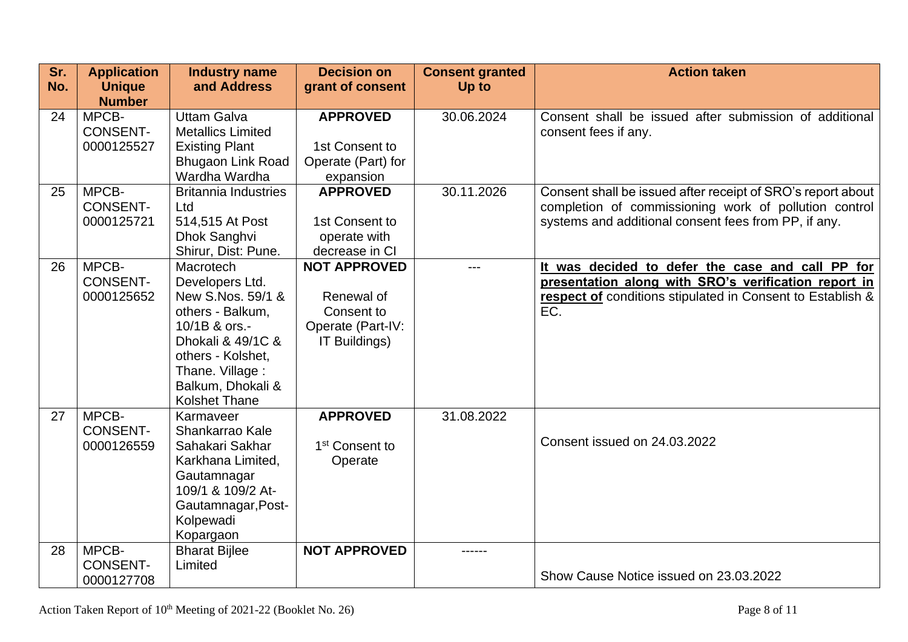| Sr.<br>No. | <b>Application</b><br><b>Unique</b>    | <b>Industry name</b><br>and Address                                                                                                                                                              | <b>Decision on</b><br>grant of consent                                                | <b>Consent granted</b><br>Up to | <b>Action taken</b>                                                                                                                                                           |
|------------|----------------------------------------|--------------------------------------------------------------------------------------------------------------------------------------------------------------------------------------------------|---------------------------------------------------------------------------------------|---------------------------------|-------------------------------------------------------------------------------------------------------------------------------------------------------------------------------|
|            | <b>Number</b>                          |                                                                                                                                                                                                  |                                                                                       |                                 |                                                                                                                                                                               |
| 24         | MPCB-<br><b>CONSENT-</b><br>0000125527 | <b>Uttam Galva</b><br><b>Metallics Limited</b><br><b>Existing Plant</b><br><b>Bhugaon Link Road</b><br>Wardha Wardha                                                                             | <b>APPROVED</b><br>1st Consent to<br>Operate (Part) for<br>expansion                  | 30.06.2024                      | Consent shall be issued after submission of additional<br>consent fees if any.                                                                                                |
| 25         | MPCB-<br><b>CONSENT-</b><br>0000125721 | <b>Britannia Industries</b><br>Ltd<br>514,515 At Post<br>Dhok Sanghvi<br>Shirur, Dist: Pune.                                                                                                     | <b>APPROVED</b><br>1st Consent to<br>operate with<br>decrease in CI                   | 30.11.2026                      | Consent shall be issued after receipt of SRO's report about<br>completion of commissioning work of pollution control<br>systems and additional consent fees from PP, if any.  |
| 26         | MPCB-<br><b>CONSENT-</b><br>0000125652 | Macrotech<br>Developers Ltd.<br>New S.Nos. 59/1 &<br>others - Balkum,<br>10/1B & ors.-<br>Dhokali & 49/1C &<br>others - Kolshet,<br>Thane. Village:<br>Balkum, Dhokali &<br><b>Kolshet Thane</b> | <b>NOT APPROVED</b><br>Renewal of<br>Consent to<br>Operate (Part-IV:<br>IT Buildings) | $---$                           | It was decided to defer the case and call PP for<br>presentation along with SRO's verification report in<br>respect of conditions stipulated in Consent to Establish &<br>EC. |
| 27         | MPCB-<br><b>CONSENT-</b><br>0000126559 | Karmaveer<br>Shankarrao Kale<br>Sahakari Sakhar<br>Karkhana Limited,<br>Gautamnagar<br>109/1 & 109/2 At-<br>Gautamnagar, Post-<br>Kolpewadi<br>Kopargaon                                         | <b>APPROVED</b><br>1 <sup>st</sup> Consent to<br>Operate                              | 31.08.2022                      | Consent issued on 24.03.2022                                                                                                                                                  |
| 28         | MPCB-<br><b>CONSENT-</b>               | <b>Bharat Bijlee</b><br>Limited                                                                                                                                                                  | <b>NOT APPROVED</b>                                                                   | ------                          | Show Cause Notice issued on 23.03.2022                                                                                                                                        |
|            | 0000127708                             |                                                                                                                                                                                                  |                                                                                       |                                 |                                                                                                                                                                               |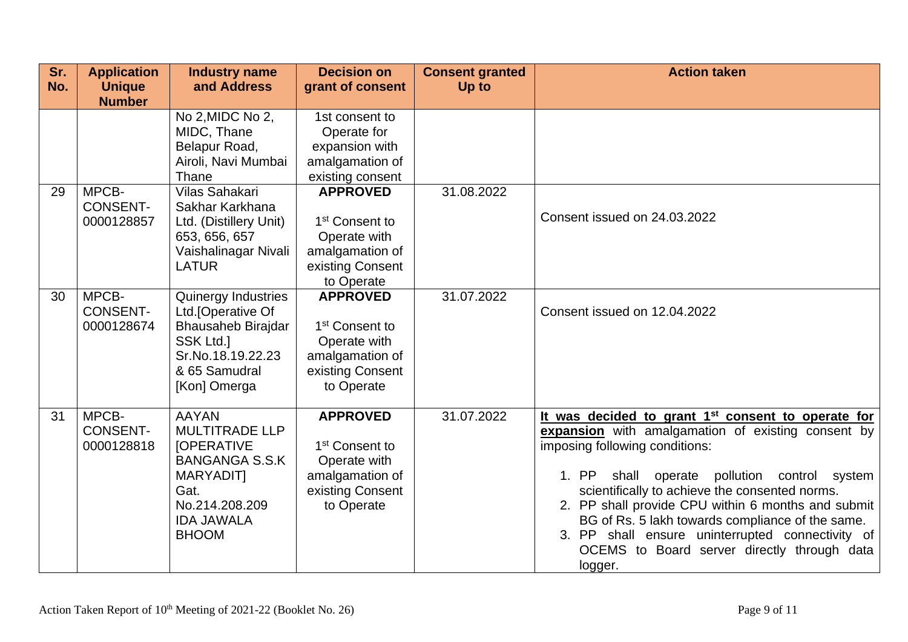| Sr.<br>No. | <b>Application</b><br><b>Unique</b><br><b>Number</b> | <b>Industry name</b><br>and Address                                                                                                                             | <b>Decision on</b><br>grant of consent                                                                             | <b>Consent granted</b><br>Up to | <b>Action taken</b>                                                                                                                                                                                                                                                                                                                                                                                                                                                                    |
|------------|------------------------------------------------------|-----------------------------------------------------------------------------------------------------------------------------------------------------------------|--------------------------------------------------------------------------------------------------------------------|---------------------------------|----------------------------------------------------------------------------------------------------------------------------------------------------------------------------------------------------------------------------------------------------------------------------------------------------------------------------------------------------------------------------------------------------------------------------------------------------------------------------------------|
|            |                                                      | No 2, MIDC No 2,<br>MIDC, Thane<br>Belapur Road,<br>Airoli, Navi Mumbai<br>Thane                                                                                | 1st consent to<br>Operate for<br>expansion with<br>amalgamation of<br>existing consent                             |                                 |                                                                                                                                                                                                                                                                                                                                                                                                                                                                                        |
| 29         | MPCB-<br><b>CONSENT-</b><br>0000128857               | Vilas Sahakari<br>Sakhar Karkhana<br>Ltd. (Distillery Unit)<br>653, 656, 657<br>Vaishalinagar Nivali<br><b>LATUR</b>                                            | <b>APPROVED</b><br>1 <sup>st</sup> Consent to<br>Operate with<br>amalgamation of<br>existing Consent<br>to Operate | 31.08.2022                      | Consent issued on 24.03.2022                                                                                                                                                                                                                                                                                                                                                                                                                                                           |
| 30         | MPCB-<br><b>CONSENT-</b><br>0000128674               | Quinergy Industries<br>Ltd. [Operative Of<br>Bhausaheb Birajdar<br><b>SSK Ltd.1</b><br>Sr.No.18.19.22.23<br>& 65 Samudral<br>[Kon] Omerga                       | <b>APPROVED</b><br>1 <sup>st</sup> Consent to<br>Operate with<br>amalgamation of<br>existing Consent<br>to Operate | 31.07.2022                      | Consent issued on 12.04.2022                                                                                                                                                                                                                                                                                                                                                                                                                                                           |
| 31         | MPCB-<br><b>CONSENT-</b><br>0000128818               | <b>AAYAN</b><br><b>MULTITRADE LLP</b><br><b>JOPERATIVE</b><br><b>BANGANGA S.S.K</b><br>MARYADIT]<br>Gat.<br>No.214.208.209<br><b>IDA JAWALA</b><br><b>BHOOM</b> | <b>APPROVED</b><br>1 <sup>st</sup> Consent to<br>Operate with<br>amalgamation of<br>existing Consent<br>to Operate | 31.07.2022                      | It was decided to grant 1 <sup>st</sup> consent to operate for<br>expansion with amalgamation of existing consent by<br>imposing following conditions:<br>1. PP<br>shall operate pollution control system<br>scientifically to achieve the consented norms.<br>2. PP shall provide CPU within 6 months and submit<br>BG of Rs. 5 lakh towards compliance of the same.<br>shall ensure uninterrupted connectivity of<br>3. PP<br>OCEMS to Board server directly through data<br>logger. |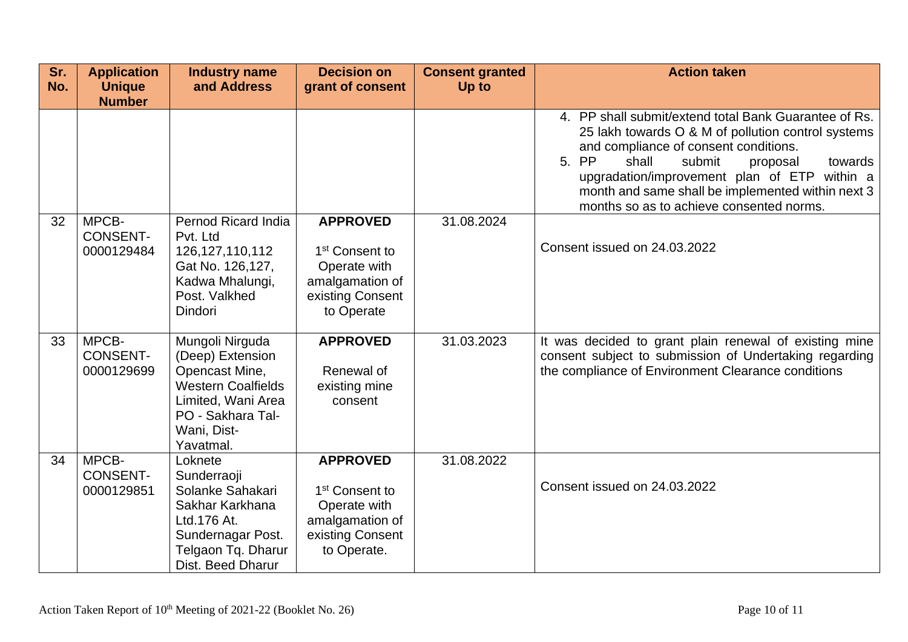| Sr.<br>No. | <b>Application</b><br><b>Unique</b>    | <b>Industry name</b><br>and Address                                                                                                                       | <b>Decision on</b><br>grant of consent                                                                              | <b>Consent granted</b><br>Up to | <b>Action taken</b>                                                                                                                                                                                                                                                                                                                                      |
|------------|----------------------------------------|-----------------------------------------------------------------------------------------------------------------------------------------------------------|---------------------------------------------------------------------------------------------------------------------|---------------------------------|----------------------------------------------------------------------------------------------------------------------------------------------------------------------------------------------------------------------------------------------------------------------------------------------------------------------------------------------------------|
|            | <b>Number</b>                          |                                                                                                                                                           |                                                                                                                     |                                 | 4. PP shall submit/extend total Bank Guarantee of Rs.<br>25 lakh towards O & M of pollution control systems<br>and compliance of consent conditions.<br>5. PP<br>shall<br>submit<br>proposal<br>towards<br>upgradation/improvement plan of ETP within a<br>month and same shall be implemented within next 3<br>months so as to achieve consented norms. |
| 32         | MPCB-<br><b>CONSENT-</b><br>0000129484 | <b>Pernod Ricard India</b><br>Pvt. Ltd<br>126, 127, 110, 112<br>Gat No. 126,127,<br>Kadwa Mhalungi,<br>Post. Valkhed<br><b>Dindori</b>                    | <b>APPROVED</b><br>1 <sup>st</sup> Consent to<br>Operate with<br>amalgamation of<br>existing Consent<br>to Operate  | 31.08.2024                      | Consent issued on 24.03.2022                                                                                                                                                                                                                                                                                                                             |
| 33         | MPCB-<br><b>CONSENT-</b><br>0000129699 | Mungoli Nirguda<br>(Deep) Extension<br>Opencast Mine,<br><b>Western Coalfields</b><br>Limited, Wani Area<br>PO - Sakhara Tal-<br>Wani, Dist-<br>Yavatmal. | <b>APPROVED</b><br>Renewal of<br>existing mine<br>consent                                                           | 31.03.2023                      | It was decided to grant plain renewal of existing mine<br>consent subject to submission of Undertaking regarding<br>the compliance of Environment Clearance conditions                                                                                                                                                                                   |
| 34         | MPCB-<br><b>CONSENT-</b><br>0000129851 | Loknete<br>Sunderraoji<br>Solanke Sahakari<br>Sakhar Karkhana<br>Ltd.176 At.<br>Sundernagar Post.<br>Telgaon Tq. Dharur<br>Dist. Beed Dharur              | <b>APPROVED</b><br>1 <sup>st</sup> Consent to<br>Operate with<br>amalgamation of<br>existing Consent<br>to Operate. | 31.08.2022                      | Consent issued on 24.03.2022                                                                                                                                                                                                                                                                                                                             |